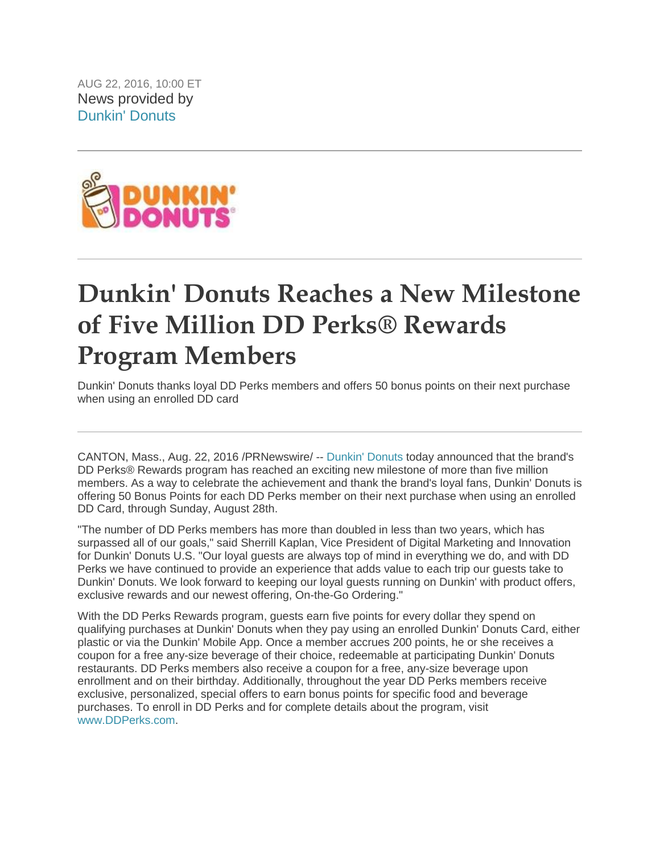AUG 22, 2016, 10:00 ET News provided by [Dunkin' Donuts](http://www.prnewswire.com/news/dunkin%27+donuts) 



## **Dunkin' Donuts Reaches a New Milestone of Five Million DD Perks® Rewards Program Members**

Dunkin' Donuts thanks loyal DD Perks members and offers 50 bonus points on their next purchase when using an enrolled DD card

CANTON, Mass., Aug. 22, 2016 /PRNewswire/ -- [Dunkin' Donuts](http://www.dunkindonuts.com/) today announced that the brand's DD Perks® Rewards program has reached an exciting new milestone of more than five million members. As a way to celebrate the achievement and thank the brand's loyal fans, Dunkin' Donuts is offering 50 Bonus Points for each DD Perks member on their next purchase when using an enrolled DD Card, through Sunday, August 28th.

"The number of DD Perks members has more than doubled in less than two years, which has surpassed all of our goals," said Sherrill Kaplan, Vice President of Digital Marketing and Innovation for Dunkin' Donuts U.S. "Our loyal guests are always top of mind in everything we do, and with DD Perks we have continued to provide an experience that adds value to each trip our guests take to Dunkin' Donuts. We look forward to keeping our loyal guests running on Dunkin' with product offers, exclusive rewards and our newest offering, On-the-Go Ordering."

With the DD Perks Rewards program, guests earn five points for every dollar they spend on qualifying purchases at Dunkin' Donuts when they pay using an enrolled Dunkin' Donuts Card, either plastic or via the Dunkin' Mobile App. Once a member accrues 200 points, he or she receives a coupon for a free any-size beverage of their choice, redeemable at participating Dunkin' Donuts restaurants. DD Perks members also receive a coupon for a free, any-size beverage upon enrollment and on their birthday. Additionally, throughout the year DD Perks members receive exclusive, personalized, special offers to earn bonus points for specific food and beverage purchases. To enroll in DD Perks and for complete details about the program, visit [www.DDPerks.com.](http://www.ddperks.com/)